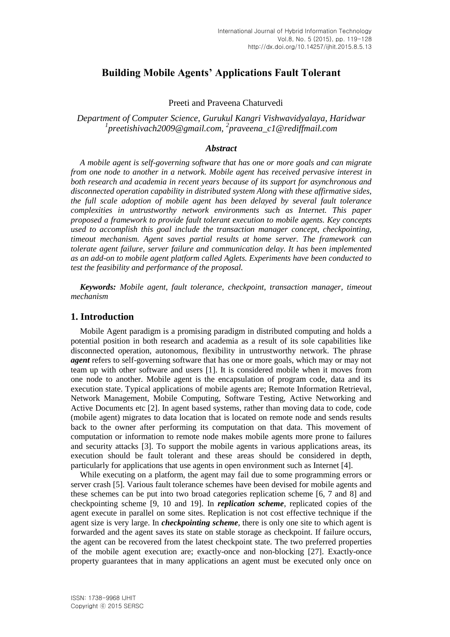# **Building Mobile Agents' Applications Fault Tolerant**

Preeti and Praveena Chaturvedi

*Department of Computer Science, Gurukul Kangri Vishwavidyalaya, Haridwar 1 preetishivach2009@gmail.com, <sup>2</sup> praveena\_c1@rediffmail.com*

#### *Abstract*

*A mobile agent is self-governing software that has one or more goals and can migrate from one node to another in a network. Mobile agent has received pervasive interest in both research and academia in recent years because of its support for asynchronous and disconnected operation capability in distributed system Along with these affirmative sides, the full scale adoption of mobile agent has been delayed by several fault tolerance complexities in untrustworthy network environments such as Internet. This paper proposed a framework to provide fault tolerant execution to mobile agents. Key concepts used to accomplish this goal include the transaction manager concept, checkpointing, timeout mechanism. Agent saves partial results at home server. The framework can tolerate agent failure, server failure and communication delay. It has been implemented as an add-on to mobile agent platform called Aglets. Experiments have been conducted to test the feasibility and performance of the proposal.*

*Keywords: Mobile agent, fault tolerance, checkpoint, transaction manager, timeout mechanism*

#### **1. Introduction**

Mobile Agent paradigm is a promising paradigm in distributed computing and holds a potential position in both research and academia as a result of its sole capabilities like disconnected operation, autonomous, flexibility in untrustworthy network. The phrase *agent* refers to self-governing software that has one or more goals, which may or may not team up with other software and users [1]. It is considered mobile when it moves from one node to another. Mobile agent is the encapsulation of program code, data and its execution state. Typical applications of mobile agents are; Remote Information Retrieval, Network Management, Mobile Computing, Software Testing, Active Networking and Active Documents etc [2]. In agent based systems, rather than moving data to code, code (mobile agent) migrates to data location that is located on remote node and sends results back to the owner after performing its computation on that data. This movement of computation or information to remote node makes mobile agents more prone to failures and security attacks [3]. To support the mobile agents in various applications areas, its execution should be fault tolerant and these areas should be considered in depth, particularly for applications that use agents in open environment such as Internet [4].

While executing on a platform, the agent may fail due to some programming errors or server crash [5]. Various fault tolerance schemes have been devised for mobile agents and these schemes can be put into two broad categories replication scheme [6, 7 and 8] and checkpointing scheme [9, 10 and 19]. In *replication scheme*, replicated copies of the agent execute in parallel on some sites. Replication is not cost effective technique if the agent size is very large. In *checkpointing scheme*, there is only one site to which agent is forwarded and the agent saves its state on stable storage as checkpoint. If failure occurs, the agent can be recovered from the latest checkpoint state. The two preferred properties of the mobile agent execution are; exactly-once and non-blocking [27]. Exactly-once property guarantees that in many applications an agent must be executed only once on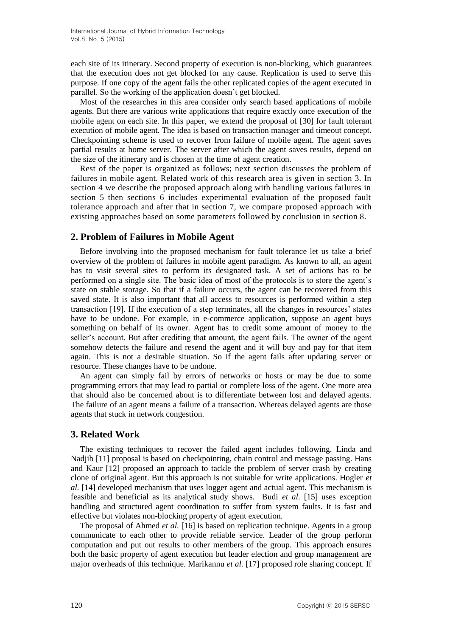each site of its itinerary. Second property of execution is non-blocking, which guarantees that the execution does not get blocked for any cause. Replication is used to serve this purpose. If one copy of the agent fails the other replicated copies of the agent executed in parallel. So the working of the application doesn't get blocked.

Most of the researches in this area consider only search based applications of mobile agents. But there are various write applications that require exactly once execution of the mobile agent on each site. In this paper, we extend the proposal of [30] for fault tolerant execution of mobile agent. The idea is based on transaction manager and timeout concept. Checkpointing scheme is used to recover from failure of mobile agent. The agent saves partial results at home server. The server after which the agent saves results, depend on the size of the itinerary and is chosen at the time of agent creation.

Rest of the paper is organized as follows; next section discusses the problem of failures in mobile agent. Related work of this research area is given in section 3. In section 4 we describe the proposed approach along with handling various failures in section 5 then sections 6 includes experimental evaluation of the proposed fault tolerance approach and after that in section 7, we compare proposed approach with existing approaches based on some parameters followed by conclusion in section 8.

## **2. Problem of Failures in Mobile Agent**

Before involving into the proposed mechanism for fault tolerance let us take a brief overview of the problem of failures in mobile agent paradigm. As known to all, an agent has to visit several sites to perform its designated task. A set of actions has to be performed on a single site. The basic idea of most of the protocols is to store the agent's state on stable storage. So that if a failure occurs, the agent can be recovered from this saved state. It is also important that all access to resources is performed within a step transaction [19]. If the execution of a step terminates, all the changes in resources' states have to be undone. For example, in e-commerce application, suppose an agent buys something on behalf of its owner. Agent has to credit some amount of money to the seller's account. But after crediting that amount, the agent fails. The owner of the agent somehow detects the failure and resend the agent and it will buy and pay for that item again. This is not a desirable situation. So if the agent fails after updating server or resource. These changes have to be undone.

An agent can simply fail by errors of networks or hosts or may be due to some programming errors that may lead to partial or complete loss of the agent. One more area that should also be concerned about is to differentiate between lost and delayed agents. The failure of an agent means a failure of a transaction. Whereas delayed agents are those agents that stuck in network congestion.

## **3. Related Work**

The existing techniques to recover the failed agent includes following. Linda and Nadjib [11] proposal is based on checkpointing, chain control and message passing. Hans and Kaur [12] proposed an approach to tackle the problem of server crash by creating clone of original agent. But this approach is not suitable for write applications. Hogler *et al.* [14] developed mechanism that uses logger agent and actual agent. This mechanism is feasible and beneficial as its analytical study shows. Budi *et al.* [15] uses exception handling and structured agent coordination to suffer from system faults. It is fast and effective but violates non-blocking property of agent execution.

The proposal of Ahmed *et al.* [16] is based on replication technique. Agents in a group communicate to each other to provide reliable service. Leader of the group perform computation and put out results to other members of the group. This approach ensures both the basic property of agent execution but leader election and group management are major overheads of this technique. Marikannu *et al.* [17] proposed role sharing concept. If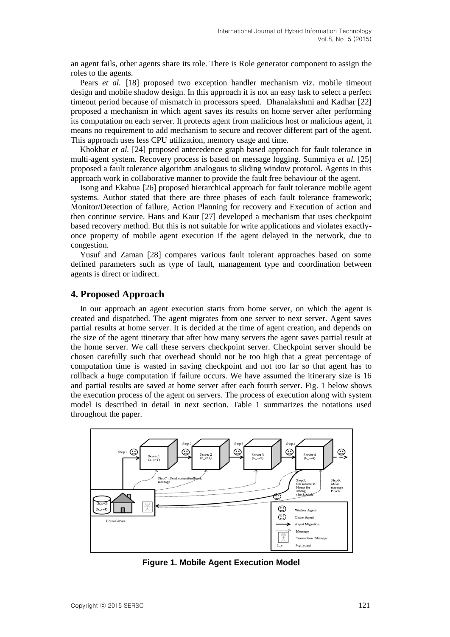an agent fails, other agents share its role. There is Role generator component to assign the roles to the agents.

Pears *et al.* [18] proposed two exception handler mechanism viz. mobile timeout design and mobile shadow design. In this approach it is not an easy task to select a perfect timeout period because of mismatch in processors speed. Dhanalakshmi and Kadhar [22] proposed a mechanism in which agent saves its results on home server after performing its computation on each server. It protects agent from malicious host or malicious agent, it means no requirement to add mechanism to secure and recover different part of the agent. This approach uses less CPU utilization, memory usage and time.

Khokhar *et al.* [24] proposed antecedence graph based approach for fault tolerance in multi-agent system. Recovery process is based on message logging. Summiya *et al.* [25] proposed a fault tolerance algorithm analogous to sliding window protocol. Agents in this approach work in collaborative manner to provide the fault free behaviour of the agent.

Isong and Ekabua [26] proposed hierarchical approach for fault tolerance mobile agent systems. Author stated that there are three phases of each fault tolerance framework; Monitor/Detection of failure, Action Planning for recovery and Execution of action and then continue service. Hans and Kaur [27] developed a mechanism that uses checkpoint based recovery method. But this is not suitable for write applications and violates exactlyonce property of mobile agent execution if the agent delayed in the network, due to congestion.

Yusuf and Zaman [28] compares various fault tolerant approaches based on some defined parameters such as type of fault, management type and coordination between agents is direct or indirect.

## **4. Proposed Approach**

In our approach an agent execution starts from home server, on which the agent is created and dispatched. The agent migrates from one server to next server. Agent saves partial results at home server. It is decided at the time of agent creation, and depends on the size of the agent itinerary that after how many servers the agent saves partial result at the home server. We call these servers checkpoint server. Checkpoint server should be chosen carefully such that overhead should not be too high that a great percentage of computation time is wasted in saving checkpoint and not too far so that agent has to rollback a huge computation if failure occurs. We have assumed the itinerary size is 16 and partial results are saved at home server after each fourth server. Fig. 1 below shows the execution process of the agent on servers. The process of execution along with system model is described in detail in next section. Table 1 summarizes the notations used throughout the paper.



**Figure 1. Mobile Agent Execution Model**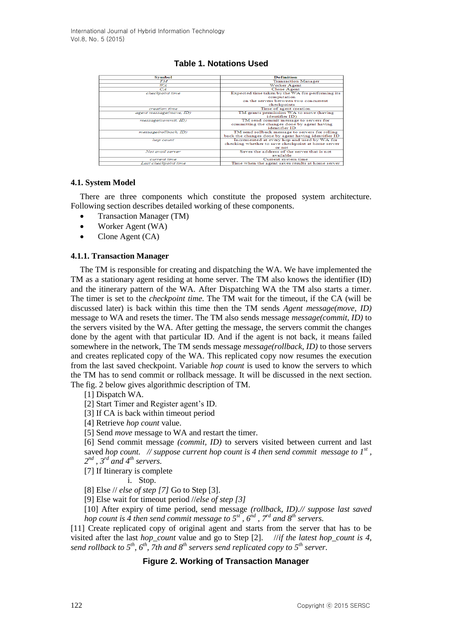## **Table 1. Notations Used**

| <b>Symbol</b>           | <b>Definition</b>                                   |  |
|-------------------------|-----------------------------------------------------|--|
| $T\overline{M}$         | <b>Transaction Manager</b>                          |  |
| WA.                     | Worker Agent                                        |  |
| CA                      | Clone Agent                                         |  |
| checkpoint time         | Expected time taken by the WA for performing its    |  |
|                         | computation                                         |  |
|                         | on the servers between two concurrent               |  |
|                         | checkpoints                                         |  |
| creation time           | Time of agent creation                              |  |
| agent message(move, ID) | TM grants permission WA to move (having             |  |
|                         | identifier ID)                                      |  |
| message(commit, ID)     | TM send commit message to servers for               |  |
|                         | committing the changes done by agent having         |  |
|                         | identifier ID                                       |  |
| message(rollback, ID)   | TM send rollback message to servers for rolling     |  |
|                         | back the changes done by agent having identifier ID |  |
| hop count               | Incremented at every hop and used by WA for         |  |
|                         | checking whether to save checkpoint at home server  |  |
|                         | or not                                              |  |
| Not avail server        | Saves the address of the server that is not         |  |
|                         | available                                           |  |
| current time            | Current system time                                 |  |
| Last checkpoint time    | Time when the agent saves results at home server    |  |

#### **4.1. System Model**

There are three components which constitute the proposed system architecture. Following section describes detailed working of these components.

- Transaction Manager (TM)
- Worker Agent (WA)
- Clone Agent (CA)

#### **4.1.1. Transaction Manager**

The TM is responsible for creating and dispatching the WA. We have implemented the TM as a stationary agent residing at home server. The TM also knows the identifier (ID) and the itinerary pattern of the WA. After Dispatching WA the TM also starts a timer. The timer is set to the *checkpoint time.* The TM wait for the timeout, if the CA (will be discussed later) is back within this time then the TM sends *Agent message(move, ID)*  message to WA and resets the timer. The TM also sends message *message(commit, ID)* to the servers visited by the WA. After getting the message, the servers commit the changes done by the agent with that particular ID. And if the agent is not back, it means failed somewhere in the network, The TM sends message *message(rollback, ID)* to those servers and creates replicated copy of the WA. This replicated copy now resumes the execution from the last saved checkpoint. Variable *hop count* is used to know the servers to which the TM has to send commit or rollback message. It will be discussed in the next section. The fig. 2 below gives algorithmic description of TM.

[1] Dispatch WA.

[2] Start Timer and Register agent's ID.

[3] If CA is back within timeout period

[4] Retrieve *hop count* value.

[5] Send *move* message to WA and restart the timer.

[6] Send commit message *(commit, ID)* to servers visited between current and last saved *hop count.* // suppose current hop count is 4 then send commit message to  $I^{st}$ , *2 nd , 3rd and 4th servers.* 

[7] If Itinerary is complete

i. Stop.

[8] Else // *else of step [7]* Go to Step [3].

[9] Else wait for timeout period //*else of step [3]*

[10] After expiry of time period, send message *(rollback, ID).// suppose last saved hop count is 4 then send commit message to 5st , 6nd , 7rd and 8th servers.* 

[11] Create replicated copy of original agent and starts from the server that has to be visited after the last *hop\_count* value and go to Step [2]. //*if the latest hop\_count is 4, send rollback to 5<sup>th</sup>, 6<sup>th</sup>, 7th and 8<sup>th</sup> servers send replicated copy to 5<sup>th</sup> server.* 

## **Figure 2. Working of Transaction Manager**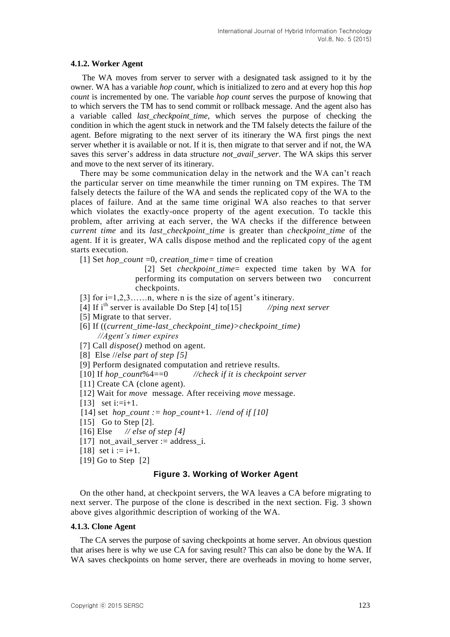#### **4.1.2. Worker Agent**

The WA moves from server to server with a designated task assigned to it by the owner. WA has a variable *hop count*, which is initialized to zero and at every hop this *hop count* is incremented by one. The variable *hop count* serves the purpose of knowing that to which servers the TM has to send commit or rollback message. And the agent also has a variable called *last\_checkpoint\_time*, which serves the purpose of checking the condition in which the agent stuck in network and the TM falsely detects the failure of the agent. Before migrating to the next server of its itinerary the WA first pings the next server whether it is available or not. If it is, then migrate to that server and if not, the WA saves this server's address in data structure *not\_avail\_server*. The WA skips this server and move to the next server of its itinerary.

There may be some communication delay in the network and the WA can't reach the particular server on time meanwhile the timer running on TM expires. The TM falsely detects the failure of the WA and sends the replicated copy of the WA to the places of failure. And at the same time original WA also reaches to that server which violates the exactly-once property of the agent execution. To tackle this problem, after arriving at each server, the WA checks if the difference between *current time* and its *last\_checkpoint\_time* is greater than *checkpoint\_time* of the agent. If it is greater, WA calls dispose method and the replicated copy of the agent starts execution.

[1] Set *hop\_count* =0, *creation\_time=* time of creation

[2] Set *checkpoint\_time*= expected time taken by WA for performing its computation on servers between two concurrent checkpoints.

[3] for  $i=1,2,3,\ldots,n$ , where n is the size of agent's itinerary.

- [4] If ith server is available Do Step [4] to[15] *//ping next server*
- [5] Migrate to that server.
- [6] If ((*current\_time-last\_checkpoint\_time)>checkpoint\_time) //Agent's timer expires*
- [7] Call *dispose()* method on agent.

[8] Else //*else part of step [5]*

- [9] Perform designated computation and retrieve results.
- [10] If *hop\_count*%4==0 *//check if it is checkpoint server*
- [11] Create CA (clone agent).
- [12] Wait for *move* message*.* After receiving *move* message.
- $[13]$  set i:=i+1.
- [14] set *hop\_count := hop\_count*+1. //*end of if [10]*
- [15] Go to Step [2].
- [16] Else *// else of step [4]*
- [17] not\_avail\_server := address\_i.
- [18] set  $i := i+1$ .
- [19] Go to Step [2]

#### **Figure 3. Working of Worker Agent**

On the other hand, at checkpoint servers, the WA leaves a CA before migrating to next server. The purpose of the clone is described in the next section. Fig. 3 shown above gives algorithmic description of working of the WA.

#### **4.1.3. Clone Agent**

The CA serves the purpose of saving checkpoints at home server. An obvious question that arises here is why we use CA for saving result? This can also be done by the WA. If WA saves checkpoints on home server, there are overheads in moving to home server.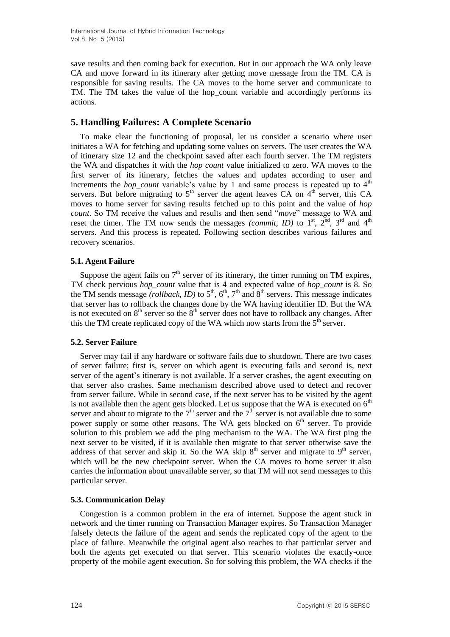save results and then coming back for execution. But in our approach the WA only leave CA and move forward in its itinerary after getting move message from the TM. CA is responsible for saving results. The CA moves to the home server and communicate to TM. The TM takes the value of the hop\_count variable and accordingly performs its actions.

# **5. Handling Failures: A Complete Scenario**

To make clear the functioning of proposal, let us consider a scenario where user initiates a WA for fetching and updating some values on servers. The user creates the WA of itinerary size 12 and the checkpoint saved after each fourth server. The TM registers the WA and dispatches it with the *hop count* value initialized to zero. WA moves to the first server of its itinerary, fetches the values and updates according to user and increments the *hop* count variable's value by 1 and same process is repeated up to  $4<sup>th</sup>$ servers. But before migrating to  $5<sup>th</sup>$  server the agent leaves CA on  $4<sup>th</sup>$  server, this CA moves to home server for saving results fetched up to this point and the value of *hop count*. So TM receive the values and results and then send "*move*" message to WA and reset the timer. The TM now sends the messages *(commit, ID)* to  $1<sup>st</sup>$ ,  $2<sup>nd</sup>$ ,  $3<sup>rd</sup>$  and  $4<sup>th</sup>$ servers. And this process is repeated. Following section describes various failures and recovery scenarios.

## **5.1. Agent Failure**

Suppose the agent fails on  $7<sup>th</sup>$  server of its itinerary, the timer running on TM expires, TM check pervious *hop\_count* value that is 4 and expected value of *hop\_count* is 8. So the TM sends message *(rollback, ID)* to  $5<sup>th</sup>$ ,  $6<sup>th</sup>$ ,  $7<sup>th</sup>$  and  $8<sup>th</sup>$  servers. This message indicates that server has to rollback the changes done by the WA having identifier ID. But the WA is not executed on  $8<sup>th</sup>$  server so the  $8<sup>th</sup>$  server does not have to rollback any changes. After this the TM create replicated copy of the WA which now starts from the  $5<sup>th</sup>$  server.

## **5.2. Server Failure**

Server may fail if any hardware or software fails due to shutdown. There are two cases of server failure; first is, server on which agent is executing fails and second is, next server of the agent's itinerary is not available. If a server crashes, the agent executing on that server also crashes. Same mechanism described above used to detect and recover from server failure. While in second case, if the next server has to be visited by the agent is not available then the agent gets blocked. Let us suppose that the WA is executed on  $6<sup>th</sup>$ server and about to migrate to the  $7<sup>th</sup>$  server and the  $7<sup>th</sup>$  server is not available due to some power supply or some other reasons. The WA gets blocked on  $6<sup>th</sup>$  server. To provide solution to this problem we add the ping mechanism to the WA. The WA first ping the next server to be visited, if it is available then migrate to that server otherwise save the address of that server and skip it. So the WA skip  $8<sup>th</sup>$  server and migrate to  $9<sup>th</sup>$  server, which will be the new checkpoint server. When the CA moves to home server it also carries the information about unavailable server, so that TM will not send messages to this particular server.

## **5.3. Communication Delay**

Congestion is a common problem in the era of internet. Suppose the agent stuck in network and the timer running on Transaction Manager expires. So Transaction Manager falsely detects the failure of the agent and sends the replicated copy of the agent to the place of failure. Meanwhile the original agent also reaches to that particular server and both the agents get executed on that server. This scenario violates the exactly-once property of the mobile agent execution. So for solving this problem, the WA checks if the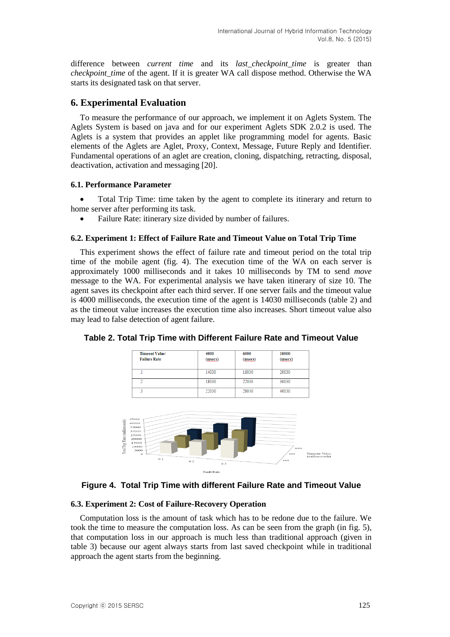difference between *current time* and its *last\_checkpoint\_time* is greater than *checkpoint time* of the agent. If it is greater WA call dispose method. Otherwise the WA starts its designated task on that server.

## **6. Experimental Evaluation**

To measure the performance of our approach, we implement it on Aglets System. The Aglets System is based on java and for our experiment Aglets SDK 2.0.2 is used. The Aglets is a system that provides an applet like programming model for agents. Basic elements of the Aglets are Aglet, Proxy, Context, Message, Future Reply and Identifier. Fundamental operations of an aglet are creation, cloning, dispatching, retracting, disposal, deactivation, activation and messaging [20].

#### **6.1. Performance Parameter**

 Total Trip Time: time taken by the agent to complete its itinerary and return to home server after performing its task.

Failure Rate: itinerary size divided by number of failures.

#### **6.2. Experiment 1: Effect of Failure Rate and Timeout Value on Total Trip Time**

This experiment shows the effect of failure rate and timeout period on the total trip time of the mobile agent (fig. 4). The execution time of the WA on each server is approximately 1000 milliseconds and it takes 10 milliseconds by TM to send *move*  message to the WA. For experimental analysis we have taken itinerary of size 10. The agent saves its checkpoint after each third server. If one server fails and the timeout value is 4000 milliseconds, the execution time of the agent is 14030 milliseconds (table 2) and as the timeout value increases the execution time also increases. Short timeout value also may lead to false detection of agent failure.



**Table 2. Total Trip Time with Different Failure Rate and Timeout Value**

## **Figure 4. Total Trip Time with different Failure Rate and Timeout Value**

**Fault Rate** 

#### **6.3. Experiment 2: Cost of Failure-Recovery Operation**

Computation loss is the amount of task which has to be redone due to the failure. We took the time to measure the computation loss. As can be seen from the graph (in fig. 5), that computation loss in our approach is much less than traditional approach (given in table 3) because our agent always starts from last saved checkpoint while in traditional approach the agent starts from the beginning.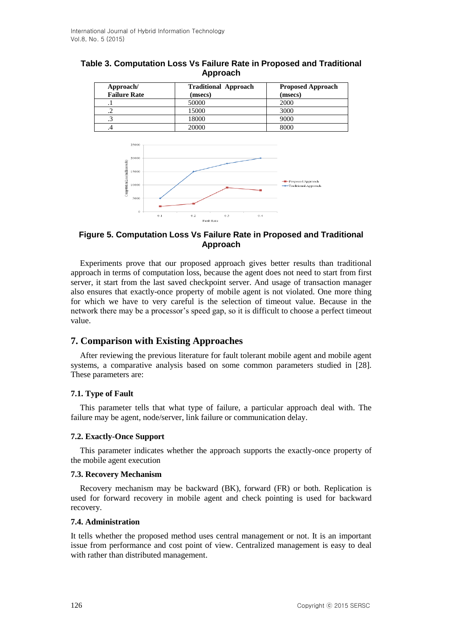| Approach/<br><b>Failure Rate</b> | <b>Traditional Approach</b><br>(msecs) | <b>Proposed Approach</b><br>(msecs) |  |
|----------------------------------|----------------------------------------|-------------------------------------|--|
|                                  | 50000                                  | 2000                                |  |
| تم                               | 15000                                  | 3000                                |  |
|                                  | 18000                                  | 9000                                |  |
|                                  | 20000                                  | 8000                                |  |





## **Figure 5. Computation Loss Vs Failure Rate in Proposed and Traditional Approach**

Experiments prove that our proposed approach gives better results than traditional approach in terms of computation loss, because the agent does not need to start from first server, it start from the last saved checkpoint server. And usage of transaction manager also ensures that exactly-once property of mobile agent is not violated. One more thing for which we have to very careful is the selection of timeout value. Because in the network there may be a processor's speed gap, so it is difficult to choose a perfect timeout value.

# **7. Comparison with Existing Approaches**

After reviewing the previous literature for fault tolerant mobile agent and mobile agent systems, a comparative analysis based on some common parameters studied in [28]. These parameters are:

## **7.1. Type of Fault**

This parameter tells that what type of failure, a particular approach deal with. The failure may be agent, node/server, link failure or communication delay.

## **7.2. Exactly-Once Support**

This parameter indicates whether the approach supports the exactly-once property of the mobile agent execution

#### **7.3. Recovery Mechanism**

Recovery mechanism may be backward (BK), forward (FR) or both. Replication is used for forward recovery in mobile agent and check pointing is used for backward recovery.

#### **7.4. Administration**

It tells whether the proposed method uses central management or not. It is an important issue from performance and cost point of view. Centralized management is easy to deal with rather than distributed management.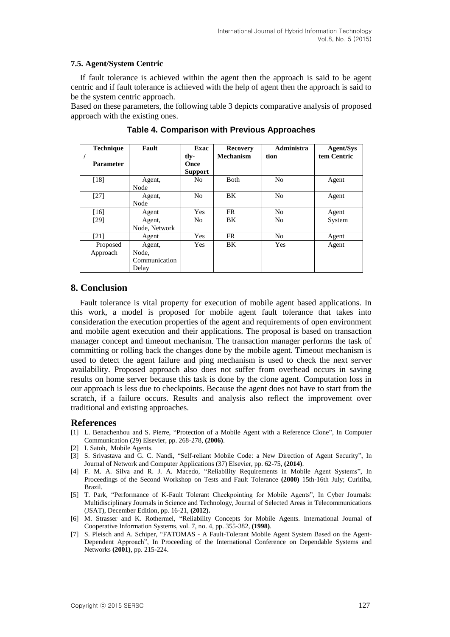#### **7.5. Agent/System Centric**

If fault tolerance is achieved within the agent then the approach is said to be agent centric and if fault tolerance is achieved with the help of agent then the approach is said to be the system centric approach.

Based on these parameters, the following table 3 depicts comparative analysis of proposed approach with the existing ones.

| <b>Technique</b><br><b>Parameter</b> | Fault         | Exac<br>tly-<br>Once | <b>Recovery</b><br><b>Mechanism</b> | Administra<br>tion | <b>Agent/Sys</b><br>tem Centric |
|--------------------------------------|---------------|----------------------|-------------------------------------|--------------------|---------------------------------|
|                                      |               | <b>Support</b>       |                                     |                    |                                 |
| [18]                                 | Agent,        | N <sub>0</sub>       | <b>B</b> oth                        | N <sub>0</sub>     | Agent                           |
|                                      | Node          |                      |                                     |                    |                                 |
| $[27]$                               | Agent,        | N <sub>o</sub>       | BK                                  | N <sub>0</sub>     | Agent                           |
|                                      | Node          |                      |                                     |                    |                                 |
| [16]                                 | Agent         | Yes                  | FR                                  | N <sub>0</sub>     | Agent                           |
| [29]                                 | Agent,        | N <sub>0</sub>       | BK                                  | N <sub>0</sub>     | System                          |
|                                      | Node, Network |                      |                                     |                    |                                 |
| $\lceil 21 \rceil$                   | Agent         | Yes                  | FR                                  | N <sub>0</sub>     | Agent                           |
| Proposed                             | Agent,        | Yes                  | BK                                  | Yes                | Agent                           |
| Approach                             | Node,         |                      |                                     |                    |                                 |
|                                      | Communication |                      |                                     |                    |                                 |
|                                      | Delay         |                      |                                     |                    |                                 |

**Table 4. Comparison with Previous Approaches**

## **8. Conclusion**

Fault tolerance is vital property for execution of mobile agent based applications. In this work, a model is proposed for mobile agent fault tolerance that takes into consideration the execution properties of the agent and requirements of open environment and mobile agent execution and their applications. The proposal is based on transaction manager concept and timeout mechanism. The transaction manager performs the task of committing or rolling back the changes done by the mobile agent. Timeout mechanism is used to detect the agent failure and ping mechanism is used to check the next server availability. Proposed approach also does not suffer from overhead occurs in saving results on home server because this task is done by the clone agent. Computation loss in our approach is less due to checkpoints. Because the agent does not have to start from the scratch, if a failure occurs. Results and analysis also reflect the improvement over traditional and existing approaches.

#### **References**

- [1] L. Benachenhou and S. Pierre, "Protection of a Mobile Agent with a Reference Clone", In Computer Communication (29) Elsevier, pp. 268-278, **(2006)**.
- [2] I. Satoh, Mobile Agents.
- [3] S. Srivastava and G. C. Nandi, "Self-reliant Mobile Code: a New Direction of Agent Security", In Journal of Network and Computer Applications (37) Elsevier, pp. 62-75, **(2014)**.
- [4] F. M. A. Silva and R. J. A. Macedo, "Reliability Requirements in Mobile Agent Systems", In Proceedings of the Second Workshop on Tests and Fault Tolerance **(2000)** 15th-16th July; Curitiba, Brazil.
- [5] T. Park, "Performance of K-Fault Tolerant Checkpointing for Mobile Agents", In Cyber Journals: Multidisciplinary Journals in Science and Technology, Journal of Selected Areas in Telecommunications (JSAT), December Edition, pp. 16-21, **(2012).**
- [6] M. Strasser and K. Rothermel, "Reliability Concepts for Mobile Agents. International Journal of Cooperative Information Systems, vol. 7, no. 4, pp. 355-382, **(1998)**.
- [7] S. Pleisch and A. Schiper, "FATOMAS A Fault-Tolerant Mobile Agent System Based on the Agent-Dependent Approach", In Proceeding of the International Conference on Dependable Systems and Networks **(2001)**, pp. 215-224.